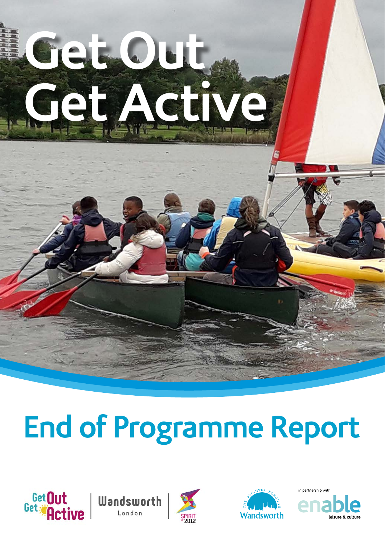# **Get Out Get Active**

# **End of Programme Report**









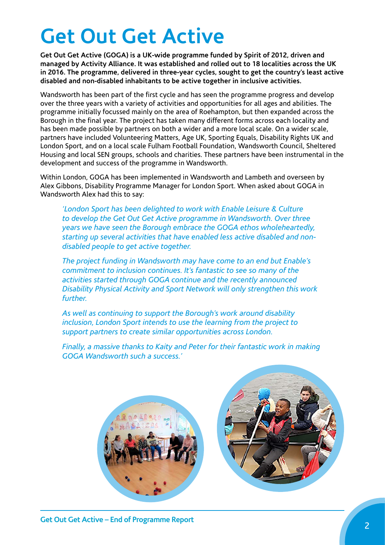# **Get Out Get Active**

**Get Out Get Active (GOGA) is a UK-wide programme funded by Spirit of 2012, driven and managed by Activity Alliance. It was established and rolled out to 18 localities across the UK in 2016. The programme, delivered in three-year cycles, sought to get the country's least active disabled and non-disabled inhabitants to be active together in inclusive activities.** 

Wandsworth has been part of the first cycle and has seen the programme progress and develop over the three years with a variety of activities and opportunities for all ages and abilities. The programme initially focussed mainly on the area of Roehampton, but then expanded across the Borough in the final year. The project has taken many different forms across each locality and has been made possible by partners on both a wider and a more local scale. On a wider scale, partners have included Volunteering Matters, Age UK, Sporting Equals, Disability Rights UK and London Sport, and on a local scale Fulham Football Foundation, Wandsworth Council, Sheltered Housing and local SEN groups, schools and charities. These partners have been instrumental in the development and success of the programme in Wandsworth.

Within London, GOGA has been implemented in Wandsworth and Lambeth and overseen by Alex Gibbons, Disability Programme Manager for London Sport. When asked about GOGA in Wandsworth Alex had this to say:

*'London Sport has been delighted to work with Enable Leisure & Culture to develop the Get Out Get Active programme in Wandsworth. Over three years we have seen the Borough embrace the GOGA ethos wholeheartedly, starting up several activities that have enabled less active disabled and nondisabled people to get active together.* 

*The project funding in Wandsworth may have come to an end but Enable's commitment to inclusion continues. It's fantastic to see so many of the activities started through GOGA continue and the recently announced Disability Physical Activity and Sport Network will only strengthen this work further.* 

*As well as continuing to support the Borough's work around disability inclusion, London Sport intends to use the learning from the project to support partners to create similar opportunities across London.*

*Finally, a massive thanks to Kaity and Peter for their fantastic work in making GOGA Wandsworth such a success.'*

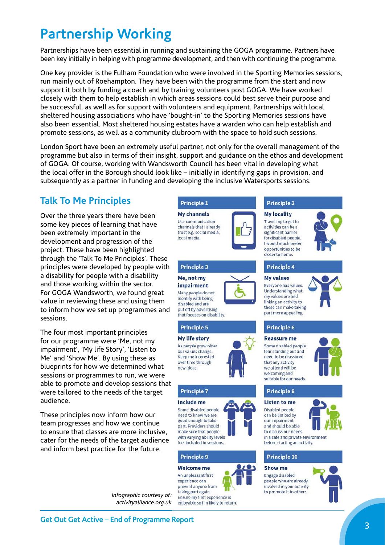# **Partnership Working**

Partnerships have been essential in running and sustaining the GOGA programme. Partners have been key initially in helping with programme development, and then with continuing the programme.

One key provider is the Fulham Foundation who were involved in the Sporting Memories sessions, run mainly out of Roehampton. They have been with the programme from the start and now support it both by funding a coach and by training volunteers post GOGA. We have worked closely with them to help establish in which areas sessions could best serve their purpose and be successful, as well as for support with volunteers and equipment. Partnerships with local sheltered housing associations who have 'bought-in' to the Sporting Memories sessions have also been essential. Most sheltered housing estates have a warden who can help establish and promote sessions, as well as a community clubroom with the space to hold such sessions.

London Sport have been an extremely useful partner, not only for the overall management of the programme but also in terms of their insight, support and guidance on the ethos and development of GOGA. Of course, working with Wandsworth Council has been vital in developing what the local offer in the Borough should look like – initially in identifying gaps in provision, and subsequently as a partner in funding and developing the inclusive Watersports sessions.

#### **Talk To Me Principles**

Over the three years there have been some key pieces of learning that have been extremely important in the development and progression of the project. These have been highlighted through the 'Talk To Me Principles'. These principles were developed by people with a disability for people with a disability and those working within the sector. For GOGA Wandsworth, we found great value in reviewing these and using them to inform how we set up programmes and sessions.

The four most important principles for our programme were 'Me, not my impairment', 'My life Story', 'Listen to Me' and 'Show Me'. By using these as blueprints for how we determined what sessions or programmes to run, we were able to promote and develop sessions that were tailored to the needs of the target audience.

These principles now inform how our team progresses and how we continue to ensure that classes are more inclusive, cater for the needs of the target audience and inform best practice for the future.

> *Infographic courtesy of: activityalliance.org.uk*



**Principle 3** 

Me, not my

impairment

Many people do not

put off by advertising

that focuses on disability.

identify with being

disabled and are

**Principle 5** 

My life story

As people grow older our values change.

Keep me interested

over time through

**Principle 7** 

Some disabled people

need to know we are

good enough to take

part. Providers should

make sure that people

with varying ability levels

feel included in sessions

**Principle 9** 

**Welcome** me

An unpleasant first experience can

prevent anyone from

Ensure my first experience is enjoyable so I'm likely to return.

taking part again.

Include me

new ideas.

**My channels** Use communication channels that I already trust e.g. social media, local media.



#### **Principle 2**

**My locality** Travelling to get to activities can be a significant barrier for disabled people. I would much prefer opportunities to be closer to home.



#### **Principle 4**

**My values** Everyone has values. **Understanding what** my values are and



#### **Principle 6**

#### **Reassure me**

Some disabled people fear standing out and need to be reassured that any activity we attend will be welcoming and suitable for our needs

#### **Principle 8**

**Listen to me** Disabled people can be limited by our impairment

and should be able

to discuss our needs in a safe and private environment before starting an activity.

#### **Principle 10**

#### Show me Engage disabled

people who are already involved in your activity to promote it to others.





<sup>3</sup> **Get Out Get Active – End of Programme Report**

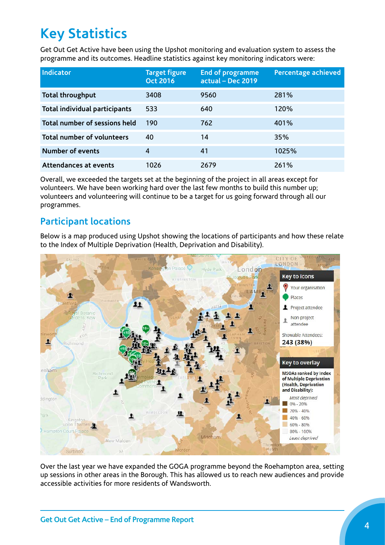# **Key Statistics**

Get Out Get Active have been using the Upshot monitoring and evaluation system to assess the programme and its outcomes. Headline statistics against key monitoring indicators were:

| Indicator                            | <b>Target figure</b><br><b>Oct 2016</b> | <b>End of programme</b><br>actual - Dec 2019 | Percentage achieved |
|--------------------------------------|-----------------------------------------|----------------------------------------------|---------------------|
| Total throughput                     | 3408                                    | 9560                                         | 281%                |
| <b>Total individual participants</b> | 533                                     | 640                                          | 120%                |
| Total number of sessions held        | 190                                     | 762                                          | 401%                |
| Total number of volunteers           | 40                                      | 14                                           | 35%                 |
| <b>Number of events</b>              | 4                                       | 41                                           | 1025%               |
| Attendances at events                | 1026                                    | 2679                                         | 261%                |

Overall, we exceeded the targets set at the beginning of the project in all areas except for volunteers. We have been working hard over the last few months to build this number up; volunteers and volunteering will continue to be a target for us going forward through all our programmes.

#### **Participant locations**

Below is a map produced using Upshot showing the locations of participants and how these relate to the Index of Multiple Deprivation (Health, Deprivation and Disability).



Over the last year we have expanded the GOGA programme beyond the Roehampton area, setting up sessions in other areas in the Borough. This has allowed us to reach new audiences and provide accessible activities for more residents of Wandsworth.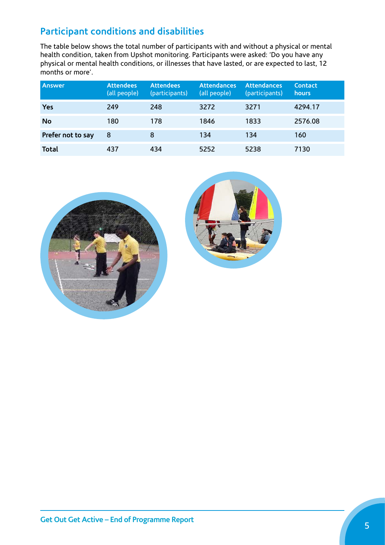### **Participant conditions and disabilities**

The table below shows the total number of participants with and without a physical or mental health condition, taken from Upshot monitoring. Participants were asked: 'Do you have any physical or mental health conditions, or illnesses that have lasted, or are expected to last, 12 months or more'.

| <b>Answer</b>     | <b>Attendees</b><br>(all people) | <b>Attendees</b><br>(participants) | <b>Attendances</b><br>(all people) | <b>Attendances</b><br>(participants) | <b>Contact</b><br><b>hours</b> |
|-------------------|----------------------------------|------------------------------------|------------------------------------|--------------------------------------|--------------------------------|
| <b>Yes</b>        | 249                              | 248                                | 3272                               | 3271                                 | 4294.17                        |
| <b>No</b>         | 180                              | 178                                | 1846                               | 1833                                 | 2576.08                        |
| Prefer not to say | 8                                | 8                                  | 134                                | 134                                  | 160                            |
| <b>Total</b>      | 437                              | 434                                | 5252                               | 5238                                 | 7130                           |



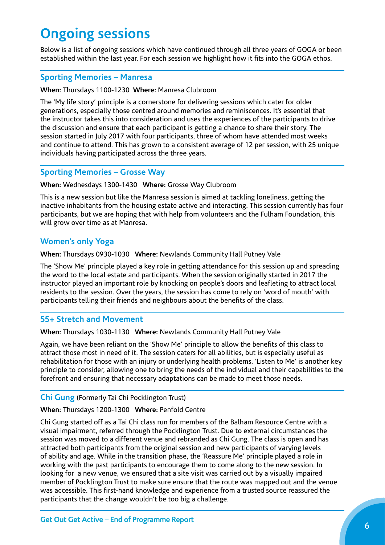# **Ongoing sessions**

Below is a list of ongoing sessions which have continued through all three years of GOGA or been established within the last year. For each session we highlight how it fits into the GOGA ethos.

#### **Sporting Memories – Manresa**

#### **When:** Thursdays 1100-1230 **Where:** Manresa Clubroom

The 'My life story' principle is a cornerstone for delivering sessions which cater for older generations, especially those centred around memories and reminiscences. It's essential that the instructor takes this into consideration and uses the experiences of the participants to drive the discussion and ensure that each participant is getting a chance to share their story. The session started in July 2017 with four participants, three of whom have attended most weeks and continue to attend. This has grown to a consistent average of 12 per session, with 25 unique individuals having participated across the three years.

#### **Sporting Memories – Grosse Way**

**When:** Wednesdays 1300-1430 **Where:** Grosse Way Clubroom

This is a new session but like the Manresa session is aimed at tackling loneliness, getting the inactive inhabitants from the housing estate active and interacting. This session currently has four participants, but we are hoping that with help from volunteers and the Fulham Foundation, this will grow over time as at Manresa.

#### **Women's only Yoga**

**When:** Thursdays 0930-1030 **Where:** Newlands Community Hall Putney Vale

The 'Show Me' principle played a key role in getting attendance for this session up and spreading the word to the local estate and participants. When the session originally started in 2017 the instructor played an important role by knocking on people's doors and leafleting to attract local residents to the session. Over the years, the session has come to rely on 'word of mouth' with participants telling their friends and neighbours about the benefits of the class.

#### **55+ Stretch and Movement**

**When:** Thursdays 1030-1130 **Where:** Newlands Community Hall Putney Vale

Again, we have been reliant on the 'Show Me' principle to allow the benefits of this class to attract those most in need of it. The session caters for all abilities, but is especially useful as rehabilitation for those with an injury or underlying health problems. 'Listen to Me' is another key principle to consider, allowing one to bring the needs of the individual and their capabilities to the forefront and ensuring that necessary adaptations can be made to meet those needs.

#### **Chi Gung** (Formerly Tai Chi Pocklington Trust)

**When:** Thursdays 1200-1300 **Where:** Penfold Centre

Chi Gung started off as a Tai Chi class run for members of the Balham Resource Centre with a visual impairment, referred through the Pocklington Trust. Due to external circumstances the session was moved to a different venue and rebranded as Chi Gung. The class is open and has attracted both participants from the original session and new participants of varying levels of ability and age. While in the transition phase, the 'Reassure Me' principle played a role in working with the past participants to encourage them to come along to the new session. In looking for a new venue, we ensured that a site visit was carried out by a visually impaired member of Pocklington Trust to make sure ensure that the route was mapped out and the venue was accessible. This first-hand knowledge and experience from a trusted source reassured the participants that the change wouldn't be too big a challenge.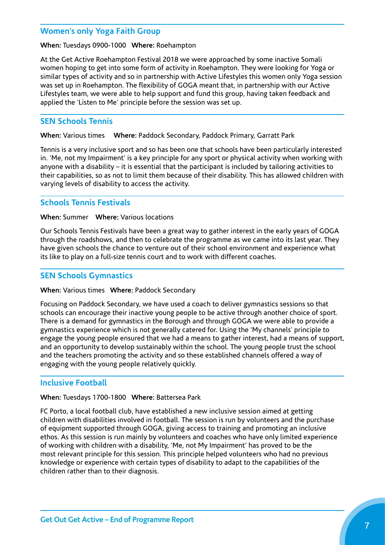#### **Women's only Yoga Faith Group**

#### **When:** Tuesdays 0900-1000 **Where:** Roehampton

At the Get Active Roehampton Festival 2018 we were approached by some inactive Somali women hoping to get into some form of activity in Roehampton. They were looking for Yoga or similar types of activity and so in partnership with Active Lifestyles this women only Yoga session was set up in Roehampton. The flexibility of GOGA meant that, in partnership with our Active Lifestyles team, we were able to help support and fund this group, having taken feedback and applied the 'Listen to Me' principle before the session was set up.

#### **SEN Schools Tennis**

**When:** Various times **Where:** Paddock Secondary, Paddock Primary, Garratt Park

Tennis is a very inclusive sport and so has been one that schools have been particularly interested in. 'Me, not my Impairment' is a key principle for any sport or physical activity when working with anyone with a disability – it is essential that the participant is included by tailoring activities to their capabilities, so as not to limit them because of their disability. This has allowed children with varying levels of disability to access the activity.

#### **Schools Tennis Festivals**

#### **When:** Summer **Where:** Various locations

Our Schools Tennis Festivals have been a great way to gather interest in the early years of GOGA through the roadshows, and then to celebrate the programme as we came into its last year. They have given schools the chance to venture out of their school environment and experience what its like to play on a full-size tennis court and to work with different coaches.

#### **SEN Schools Gymnastics**

#### **When:** Various times **Where:** Paddock Secondary

Focusing on Paddock Secondary, we have used a coach to deliver gymnastics sessions so that schools can encourage their inactive young people to be active through another choice of sport. There is a demand for gymnastics in the Borough and through GOGA we were able to provide a gymnastics experience which is not generally catered for. Using the 'My channels' principle to engage the young people ensured that we had a means to gather interest, had a means of support, and an opportunity to develop sustainably within the school. The young people trust the school and the teachers promoting the activity and so these established channels offered a way of engaging with the young people relatively quickly.

#### **Inclusive Football**

#### **When:** Tuesdays 1700-1800 **Where:** Battersea Park

FC Porto, a local football club, have established a new inclusive session aimed at getting children with disabilities involved in football. The session is run by volunteers and the purchase of equipment supported through GOGA, giving access to training and promoting an inclusive ethos. As this session is run mainly by volunteers and coaches who have only limited experience of working with children with a disability, 'Me, not My Impairment' has proved to be the most relevant principle for this session. This principle helped volunteers who had no previous knowledge or experience with certain types of disability to adapt to the capabilities of the children rather than to their diagnosis.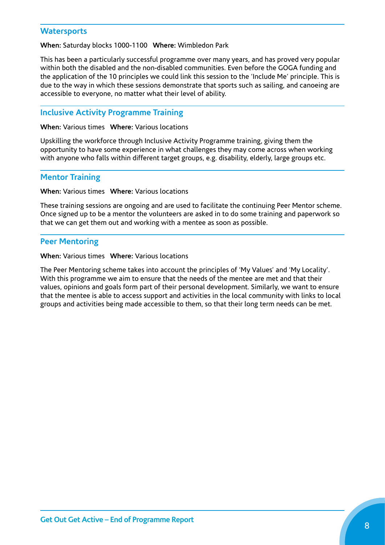#### **Watersports**

#### **When:** Saturday blocks 1000-1100 **Where:** Wimbledon Park

This has been a particularly successful programme over many years, and has proved very popular within both the disabled and the non-disabled communities. Even before the GOGA funding and the application of the 10 principles we could link this session to the 'Include Me' principle. This is due to the way in which these sessions demonstrate that sports such as sailing, and canoeing are accessible to everyone, no matter what their level of ability.

#### **Inclusive Activity Programme Training**

**When:** Various times **Where:** Various locations

Upskilling the workforce through Inclusive Activity Programme training, giving them the opportunity to have some experience in what challenges they may come across when working with anyone who falls within different target groups, e.g. disability, elderly, large groups etc.

#### **Mentor Training**

**When:** Various times **Where:** Various locations

These training sessions are ongoing and are used to facilitate the continuing Peer Mentor scheme. Once signed up to be a mentor the volunteers are asked in to do some training and paperwork so that we can get them out and working with a mentee as soon as possible.

#### **Peer Mentoring**

**When:** Various times **Where:** Various locations

The Peer Mentoring scheme takes into account the principles of 'My Values' and 'My Locality'. With this programme we aim to ensure that the needs of the mentee are met and that their values, opinions and goals form part of their personal development. Similarly, we want to ensure that the mentee is able to access support and activities in the local community with links to local groups and activities being made accessible to them, so that their long term needs can be met.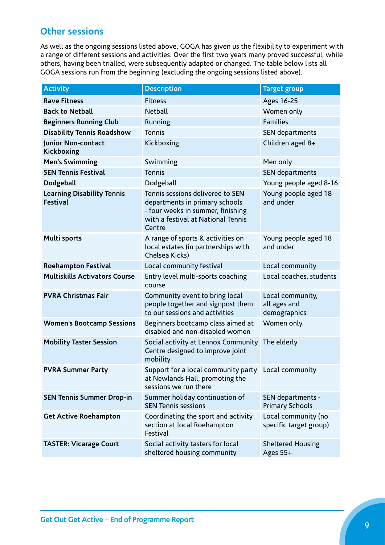#### **Other sessions**

As well as the ongoing sessions listed above, GOGA has given us the flexibility to experiment with a range of different sessions and activities. Over the first two years many proved successful, while others, having been trialled, were subsequently adapted or changed. The table below lists all GOGA sessions run from the beginning (excluding the ongoing sessions listed above).

| <b>Activity</b>                                      | <b>Description</b>                                                                                                                                      | <b>Target group</b>                              |  |
|------------------------------------------------------|---------------------------------------------------------------------------------------------------------------------------------------------------------|--------------------------------------------------|--|
| <b>Rave Fitness</b>                                  | <b>Fitness</b>                                                                                                                                          | Ages 16-25                                       |  |
| <b>Back to Netball</b>                               | <b>Netball</b>                                                                                                                                          | Women only                                       |  |
| <b>Beginners Running Club</b>                        | Running                                                                                                                                                 | <b>Families</b>                                  |  |
| <b>Disability Tennis Roadshow</b>                    | Tennis                                                                                                                                                  | SEN departments                                  |  |
| Junior Non-contact<br>Kickboxing                     | Kickboxing                                                                                                                                              | Children aged 8+                                 |  |
| <b>Men's Swimming</b>                                | Swimming                                                                                                                                                | Men only                                         |  |
| <b>SEN Tennis Festival</b>                           | <b>Tennis</b>                                                                                                                                           | SEN departments                                  |  |
| Dodgeball                                            | Dodgeball                                                                                                                                               | Young people aged 8-16                           |  |
| <b>Learning Disability Tennis</b><br><b>Festival</b> | Tennis sessions delivered to SEN<br>departments in primary schools<br>- four weeks in summer, finishing<br>with a festival at National Tennis<br>Centre | Young people aged 18<br>and under                |  |
| <b>Multi sports</b>                                  | A range of sports & activities on<br>local estates (in partnerships with<br>Chelsea Kicks)                                                              | Young people aged 18<br>and under                |  |
| <b>Roehampton Festival</b>                           | Local community festival                                                                                                                                | Local community                                  |  |
| <b>Multiskills Activators Course</b>                 | Entry level multi-sports coaching<br>course                                                                                                             | Local coaches, students                          |  |
| <b>PVRA Christmas Fair</b>                           | Community event to bring local<br>people together and signpost them<br>to our sessions and activities                                                   | Local community,<br>all ages and<br>demographics |  |
| <b>Women's Bootcamp Sessions</b>                     | Beginners bootcamp class aimed at<br>disabled and non-disabled women                                                                                    | Women only                                       |  |
| <b>Mobility Taster Session</b>                       | Social activity at Lennox Community<br>Centre designed to improve joint<br>mobility                                                                     | The elderly                                      |  |
| <b>PVRA Summer Party</b>                             | Support for a local community party Local community<br>at Newlands Hall, promoting the<br>sessions we run there                                         |                                                  |  |
| <b>SEN Tennis Summer Drop-in</b>                     | Summer holiday continuation of<br><b>SEN Tennis sessions</b>                                                                                            | SEN departments -<br><b>Primary Schools</b>      |  |
| <b>Get Active Roehampton</b>                         | Coordinating the sport and activity<br>section at local Roehampton<br>Festival                                                                          | Local community (no<br>specific target group)    |  |
| <b>TASTER: Vicarage Court</b>                        | Social activity tasters for local<br>sheltered housing community                                                                                        | <b>Sheltered Housing</b><br>Ages 55+             |  |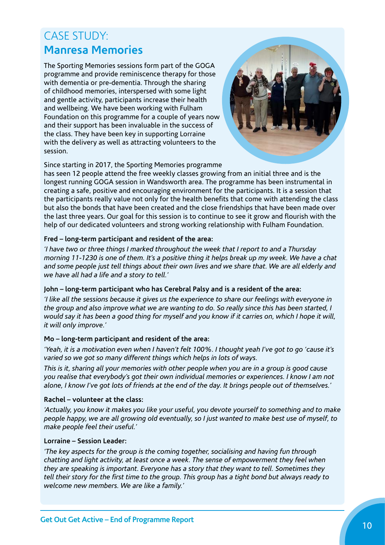# CASE STUDY: **Manresa Memories**

The Sporting Memories sessions form part of the GOGA programme and provide reminiscence therapy for those with dementia or pre-dementia. Through the sharing of childhood memories, interspersed with some light and gentle activity, participants increase their health and wellbeing. We have been working with Fulham Foundation on this programme for a couple of years now and their support has been invaluable in the success of the class. They have been key in supporting Lorraine with the delivery as well as attracting volunteers to the session.



Since starting in 2017, the Sporting Memories programme

has seen 12 people attend the free weekly classes growing from an initial three and is the longest running GOGA session in Wandsworth area. The programme has been instrumental in creating a safe, positive and encouraging environment for the participants. It is a session that the participants really value not only for the health benefits that come with attending the class but also the bonds that have been created and the close friendships that have been made over the last three years. Our goal for this session is to continue to see it grow and flourish with the help of our dedicated volunteers and strong working relationship with Fulham Foundation.

#### **Fred – long-term participant and resident of the area:**

*'I have two or three things I marked throughout the week that I report to and a Thursday morning 11-1230 is one of them. It's a positive thing it helps break up my week. We have a chat and some people just tell things about their own lives and we share that. We are all elderly and we have all had a life and a story to tell.'*

#### **John – long-term participant who has Cerebral Palsy and is a resident of the area:**

*'I like all the sessions because it gives us the experience to share our feelings with everyone in the group and also improve what we are wanting to do. So really since this has been started, I would say it has been a good thing for myself and you know if it carries on, which I hope it will, it will only improve.'*

#### **Mo – long-term participant and resident of the area:**

*'Yeah, it is a motivation even when I haven't felt 100%. I thought yeah I've got to go 'cause it's varied so we got so many different things which helps in lots of ways.*

*This is it, sharing all your memories with other people when you are in a group is good cause you realise that everybody's got their own individual memories or experiences. I know I am not alone, I know I've got lots of friends at the end of the day. It brings people out of themselves.'*

#### **Rachel – volunteer at the class:**

*'Actually, you know it makes you like your useful, you devote yourself to something and to make people happy, we are all growing old eventually, so I just wanted to make best use of myself, to make people feel their useful.'*

#### **Lorraine – Session Leader:**

*'The key aspects for the group is the coming together, socialising and having fun through chatting and light activity, at least once a week. The sense of empowerment they feel when they are speaking is important. Everyone has a story that they want to tell. Sometimes they tell their story for the first time to the group. This group has a tight bond but always ready to welcome new members. We are like a family.'*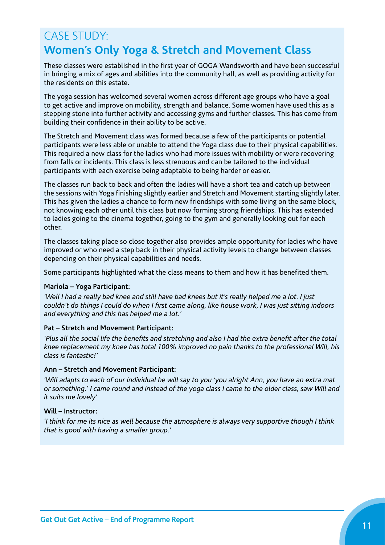# CASE STUDY: **Women's Only Yoga & Stretch and Movement Class**

These classes were established in the first year of GOGA Wandsworth and have been successful in bringing a mix of ages and abilities into the community hall, as well as providing activity for the residents on this estate.

The yoga session has welcomed several women across different age groups who have a goal to get active and improve on mobility, strength and balance. Some women have used this as a stepping stone into further activity and accessing gyms and further classes. This has come from building their confidence in their ability to be active.

The Stretch and Movement class was formed because a few of the participants or potential participants were less able or unable to attend the Yoga class due to their physical capabilities. This required a new class for the ladies who had more issues with mobility or were recovering from falls or incidents. This class is less strenuous and can be tailored to the individual participants with each exercise being adaptable to being harder or easier.

The classes run back to back and often the ladies will have a short tea and catch up between the sessions with Yoga finishing slightly earlier and Stretch and Movement starting slightly later. This has given the ladies a chance to form new friendships with some living on the same block, not knowing each other until this class but now forming strong friendships. This has extended to ladies going to the cinema together, going to the gym and generally looking out for each other.

The classes taking place so close together also provides ample opportunity for ladies who have improved or who need a step back in their physical activity levels to change between classes depending on their physical capabilities and needs.

Some participants highlighted what the class means to them and how it has benefited them.

#### **Mariola – Yoga Participant:**

*'Well I had a really bad knee and still have bad knees but it's really helped me a lot. I just couldn't do things I could do when I first came along, like house work, I was just sitting indoors and everything and this has helped me a lot.'*

#### **Pat – Stretch and Movement Participant:**

*'Plus all the social life the benefits and stretching and also I had the extra benefit after the total knee replacement my knee has total 100% improved no pain thanks to the professional Will, his class is fantastic!'*

#### **Ann – Stretch and Movement Participant:**

*'Will adapts to each of our individual he will say to you 'you alright Ann, you have an extra mat or something.' I came round and instead of the yoga class I came to the older class, saw Will and it suits me lovely'*

#### **Will – Instructor:**

*'I think for me its nice as well because the atmosphere is always very supportive though I think that is good with having a smaller group.'*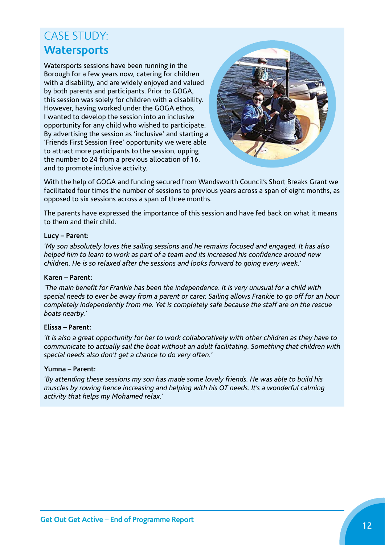# CASE STUDY: **Watersports**

Watersports sessions have been running in the Borough for a few years now, catering for children with a disability, and are widely enjoyed and valued by both parents and participants. Prior to GOGA, this session was solely for children with a disability. However, having worked under the GOGA ethos, I wanted to develop the session into an inclusive opportunity for any child who wished to participate. By advertising the session as 'inclusive' and starting a 'Friends First Session Free' opportunity we were able to attract more participants to the session, upping the number to 24 from a previous allocation of 16, and to promote inclusive activity.



With the help of GOGA and funding secured from Wandsworth Council's Short Breaks Grant we facilitated four times the number of sessions to previous years across a span of eight months, as opposed to six sessions across a span of three months.

The parents have expressed the importance of this session and have fed back on what it means to them and their child.

#### **Lucy – Parent:**

*'My son absolutely loves the sailing sessions and he remains focused and engaged. It has also helped him to learn to work as part of a team and its increased his confidence around new children. He is so relaxed after the sessions and looks forward to going every week.'*

#### **Karen – Parent:**

*'The main benefit for Frankie has been the independence. It is very unusual for a child with special needs to ever be away from a parent or carer. Sailing allows Frankie to go off for an hour completely independently from me. Yet is completely safe because the staff are on the rescue boats nearby.'* 

#### **Elissa – Parent:**

*'It is also a great opportunity for her to work collaboratively with other children as they have to communicate to actually sail the boat without an adult facilitating. Something that children with special needs also don't get a chance to do very often.'*

#### **Yumna – Parent:**

*'By attending these sessions my son has made some lovely friends. He was able to build his muscles by rowing hence increasing and helping with his OT needs. It's a wonderful calming activity that helps my Mohamed relax.'*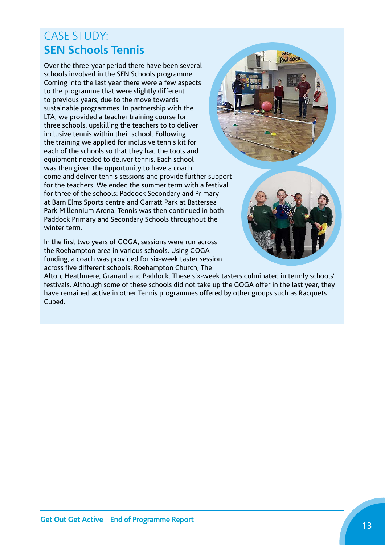# CASE STUDY: **SEN Schools Tennis**

Over the three-year period there have been several schools involved in the SEN Schools programme. Coming into the last year there were a few aspects to the programme that were slightly different to previous years, due to the move towards sustainable programmes. In partnership with the LTA, we provided a teacher training course for three schools, upskilling the teachers to to deliver inclusive tennis within their school. Following the training we applied for inclusive tennis kit for each of the schools so that they had the tools and equipment needed to deliver tennis. Each school was then given the opportunity to have a coach come and deliver tennis sessions and provide further support for the teachers. We ended the summer term with a festival for three of the schools: Paddock Secondary and Primary at Barn Elms Sports centre and Garratt Park at Battersea Park Millennium Arena. Tennis was then continued in both Paddock Primary and Secondary Schools throughout the winter term.

In the first two years of GOGA, sessions were run across the Roehampton area in various schools. Using GOGA funding, a coach was provided for six-week taster session across five different schools: Roehampton Church, The



WE Paddoca

Alton, Heathmere, Granard and Paddock. These six-week tasters culminated in termly schools' festivals. Although some of these schools did not take up the GOGA offer in the last year, they have remained active in other Tennis programmes offered by other groups such as Racquets Cubed.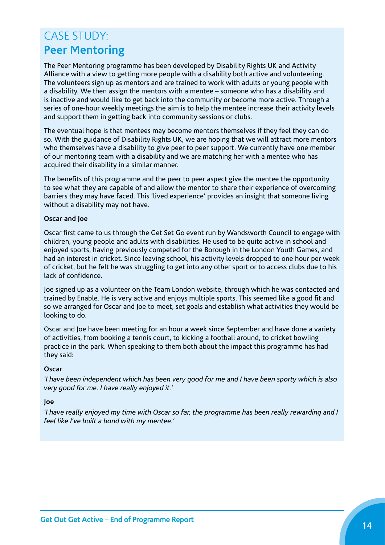# CASE STUDY: **Peer Mentoring**

The Peer Mentoring programme has been developed by Disability Rights UK and Activity Alliance with a view to getting more people with a disability both active and volunteering. The volunteers sign up as mentors and are trained to work with adults or young people with a disability. We then assign the mentors with a mentee – someone who has a disability and is inactive and would like to get back into the community or become more active. Through a series of one-hour weekly meetings the aim is to help the mentee increase their activity levels and support them in getting back into community sessions or clubs.

The eventual hope is that mentees may become mentors themselves if they feel they can do so. With the guidance of Disability Rights UK, we are hoping that we will attract more mentors who themselves have a disability to give peer to peer support. We currently have one member of our mentoring team with a disability and we are matching her with a mentee who has acquired their disability in a similar manner.

The benefits of this programme and the peer to peer aspect give the mentee the opportunity to see what they are capable of and allow the mentor to share their experience of overcoming barriers they may have faced. This 'lived experience' provides an insight that someone living without a disability may not have.

#### **Oscar and Joe**

Oscar first came to us through the Get Set Go event run by Wandsworth Council to engage with children, young people and adults with disabilities. He used to be quite active in school and enjoyed sports, having previously competed for the Borough in the London Youth Games, and had an interest in cricket. Since leaving school, his activity levels dropped to one hour per week of cricket, but he felt he was struggling to get into any other sport or to access clubs due to his lack of confidence.

Joe signed up as a volunteer on the Team London website, through which he was contacted and trained by Enable. He is very active and enjoys multiple sports. This seemed like a good fit and so we arranged for Oscar and Joe to meet, set goals and establish what activities they would be looking to do.

Oscar and Joe have been meeting for an hour a week since September and have done a variety of activities, from booking a tennis court, to kicking a football around, to cricket bowling practice in the park. When speaking to them both about the impact this programme has had they said:

#### **Oscar**

*'I have been independent which has been very good for me and I have been sporty which is also very good for me. I have really enjoyed it.'*

#### **Joe**

*'I have really enjoyed my time with Oscar so far, the programme has been really rewarding and I feel like I've built a bond with my mentee.'*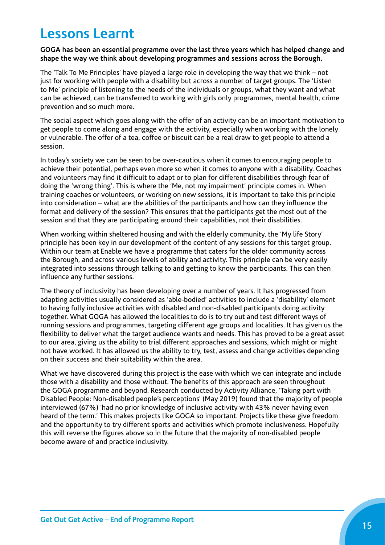# **Lessons Learnt**

#### **GOGA has been an essential programme over the last three years which has helped change and shape the way we think about developing programmes and sessions across the Borough.**

The 'Talk To Me Principles' have played a large role in developing the way that we think – not just for working with people with a disability but across a number of target groups. The 'Listen to Me' principle of listening to the needs of the individuals or groups, what they want and what can be achieved, can be transferred to working with girls only programmes, mental health, crime prevention and so much more.

The social aspect which goes along with the offer of an activity can be an important motivation to get people to come along and engage with the activity, especially when working with the lonely or vulnerable. The offer of a tea, coffee or biscuit can be a real draw to get people to attend a session.

In today's society we can be seen to be over-cautious when it comes to encouraging people to achieve their potential, perhaps even more so when it comes to anyone with a disability. Coaches and volunteers may find it difficult to adapt or to plan for different disabilities through fear of doing the 'wrong thing'. This is where the 'Me, not my impairment' principle comes in. When training coaches or volunteers, or working on new sessions, it is important to take this principle into consideration – what are the abilities of the participants and how can they influence the format and delivery of the session? This ensures that the participants get the most out of the session and that they are participating around their capabilities, not their disabilities.

When working within sheltered housing and with the elderly community, the 'My life Story' principle has been key in our development of the content of any sessions for this target group. Within our team at Enable we have a programme that caters for the older community across the Borough, and across various levels of ability and activity. This principle can be very easily integrated into sessions through talking to and getting to know the participants. This can then influence any further sessions.

The theory of inclusivity has been developing over a number of years. It has progressed from adapting activities usually considered as 'able-bodied' activities to include a 'disability' element to having fully inclusive activities with disabled and non-disabled participants doing activity together. What GOGA has allowed the localities to do is to try out and test different ways of running sessions and programmes, targeting different age groups and localities. It has given us the flexibility to deliver what the target audience wants and needs. This has proved to be a great asset to our area, giving us the ability to trial different approaches and sessions, which might or might not have worked. It has allowed us the ability to try, test, assess and change activities depending on their success and their suitability within the area.

What we have discovered during this project is the ease with which we can integrate and include those with a disability and those without. The benefits of this approach are seen throughout the GOGA programme and beyond. Research conducted by Activity Alliance, 'Taking part with Disabled People: Non-disabled people's perceptions' (May 2019) found that the majority of people interviewed (67%) 'had no prior knowledge of inclusive activity with 43% never having even heard of the term.' This makes projects like GOGA so important. Projects like these give freedom and the opportunity to try different sports and activities which promote inclusiveness. Hopefully this will reverse the figures above so in the future that the majority of non-disabled people become aware of and practice inclusivity.